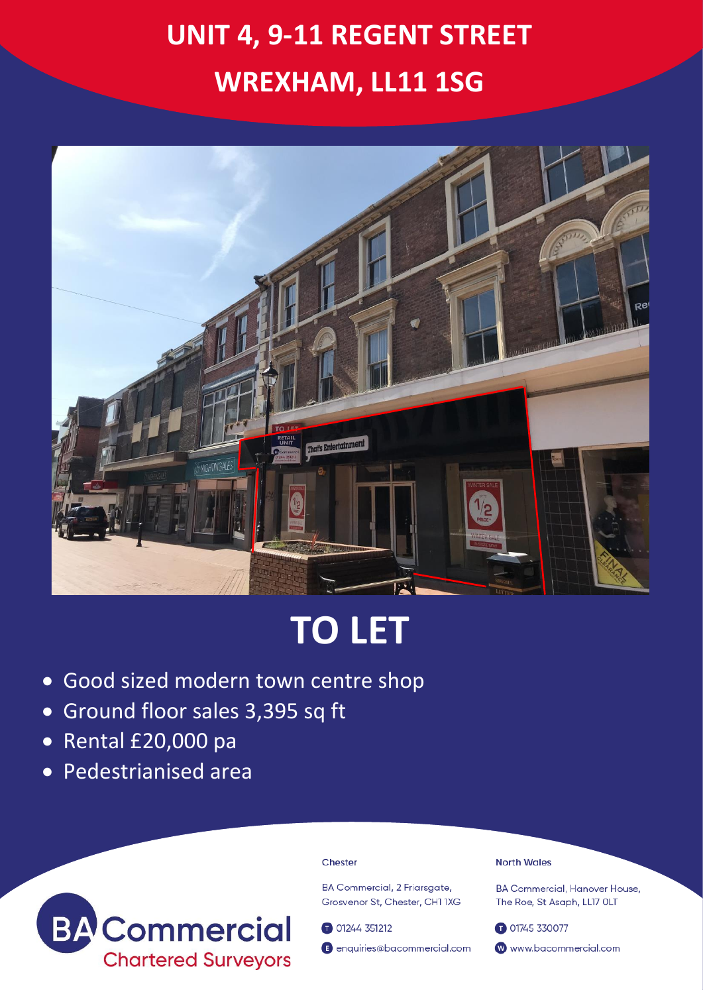## **UNIT 4, 9-11 REGENT STREET WREXHAM, LL11 1SG**



# **TO LET**

- Good sized modern town centre shop
- Ground floor sales 3,395 sq ft
- Rental £20,000 pa
- Pedestrianised area



#### Chester

**BA Commercial, 2 Friarsaate,** Grosvenor St. Chester, CH1 1XG

01244 351212

enquiries@bacommercial.com

#### **North Wales**

**BA Commercial, Hanover House.** The Roe, St Asaph, LL17 OLT

01745 330077 www.bacommercial.com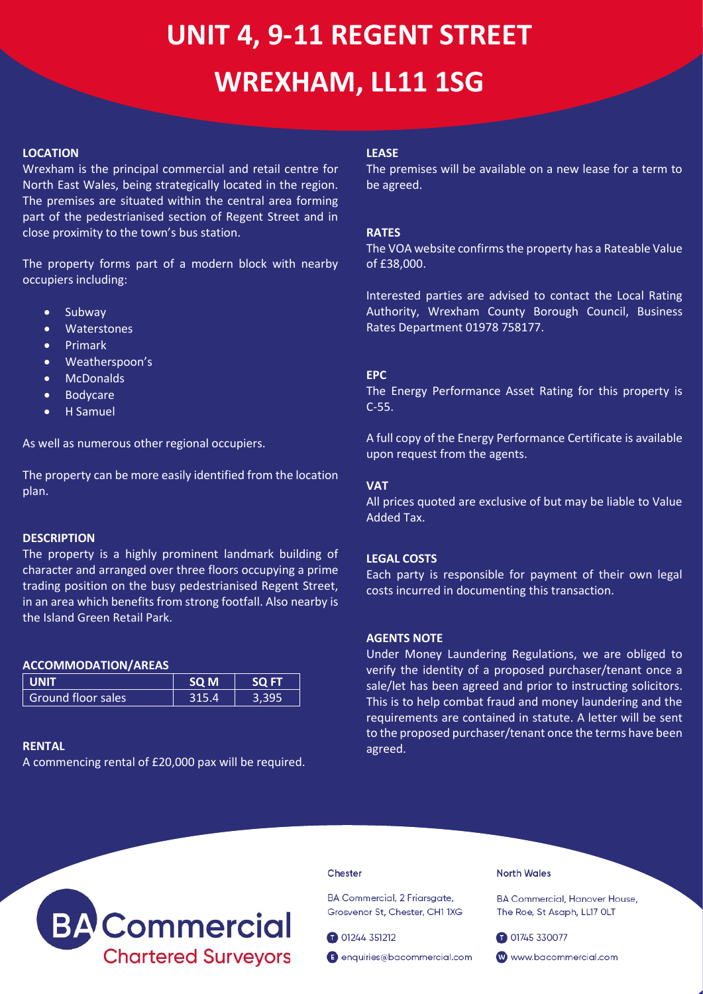## **UNIT 4, 9-11 REGENT STREET WREXHAM, LL11 1SG**

#### **LOCATION**

Wrexham is the principal commercial and retail centre for North East Wales, being strategically located in the region. The premises are situated within the central area forming part of the pedestrianised section of Regent Street and in close proximity to the town's bus station.

The property forms part of a modern block with nearby occupiers including:

- Subway
- Waterstones
- Primark
- Weatherspoon's
- McDonalds
- Bodycare
- H Samuel

As well as numerous other regional occupiers.

The property can be more easily identified from the location plan.

#### **DESCRIPTION**

The property is a highly prominent landmark building of character and arranged over three floors occupying a prime trading position on the busy pedestrianised Regent Street, in an area which benefits from strong footfall. Also nearby is the Island Green Retail Park.

#### **ACCOMMODATION/AREAS**

| <b>LUNIT</b>       | SO <sub>M</sub> | <b>SO FT</b> |
|--------------------|-----------------|--------------|
| Ground floor sales | 315.4           |              |

### **RENTAL**

A commencing rental of £20,000 pax will be required.

#### **LEASE**

The premises will be available on a new lease for a term to be agreed.

### **RATES**

The VOA website confirms the property has a Rateable Value of £38,000.

Interested parties are advised to contact the Local Rating Authority, Wrexham County Borough Council, Business Rates Department 01978 758177.

#### **EPC**

The Energy Performance Asset Rating for this property is C-55.

A full copy of the Energy Performance Certificate is available upon request from the agents.

#### **VAT**

All prices quoted are exclusive of but may be liable to Value Added Tax.

### **LEGAL COSTS**

Each party is responsible for payment of their own legal costs incurred in documenting this transaction.

### **AGENTS NOTE**

Under Money Laundering Regulations, we are obliged to verify the identity of a proposed purchaser/tenant once a sale/let has been agreed and prior to instructing solicitors. This is to help combat fraud and money laundering and the requirements are contained in statute. A letter will be sent to the proposed purchaser/tenant once the terms have been agreed.



#### Chester

BA Commercial, 2 Friarsgate, Grosvenor St, Chester, CH1 1XG

01244 351212

enquiries@bacommercial.com

#### **North Wales**

**BA Commercial, Hanover House,** The Roe, St Asaph, LL17 OLT

01745 330077

www.bacommercial.com